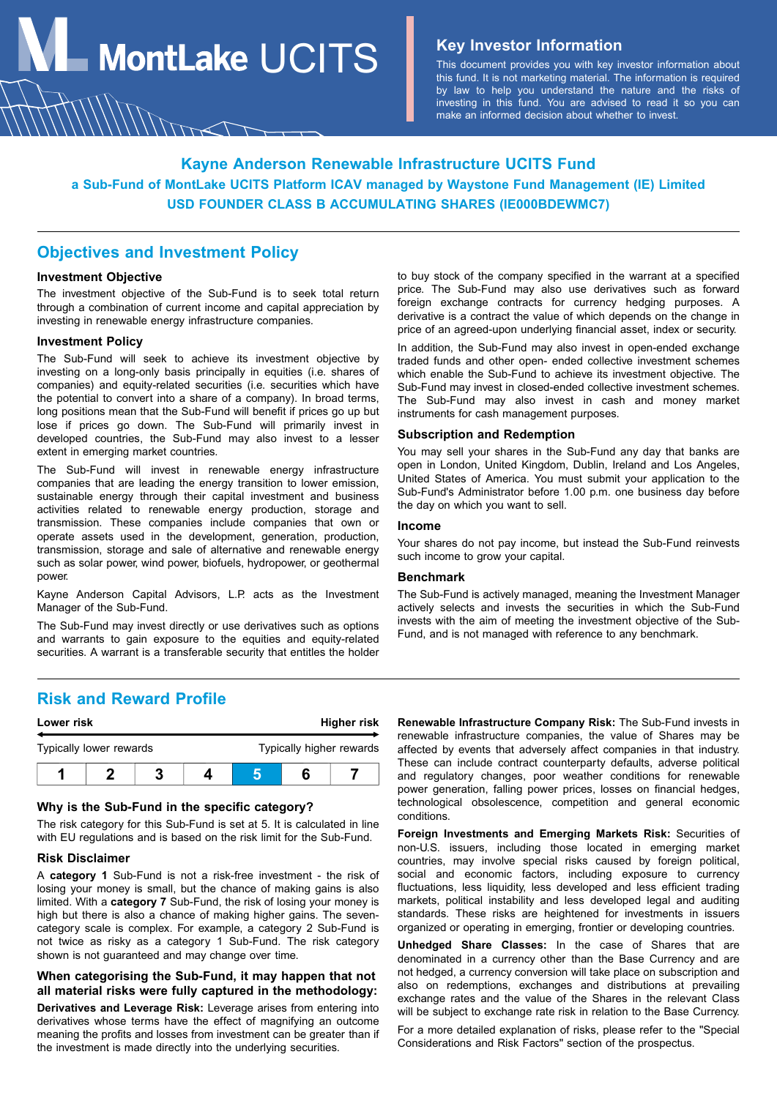**MontLake**  $UCITS$  **Key Investor Information** 

This document provides you with key investor information about this fund. It is not marketing material. The information is required by law to help you understand the nature and the risks of investing in this fund. You are advised to read it so you can make an informed decision about whether to invest.

# **Kayne Anderson Renewable Infrastructure UCITS Fund a Sub-Fund of MontLake UCITS Platform ICAV managed by Waystone Fund Management (IE) Limited USD FOUNDER CLASS B ACCUMULATING SHARES (IE000BDEWMC7)**

## **Objectives and Investment Policy**

MMm

## **Investment Objective**

The investment objective of the Sub-Fund is to seek total return through a combination of current income and capital appreciation by investing in renewable energy infrastructure companies.

#### **Investment Policy**

The Sub-Fund will seek to achieve its investment objective by investing on a long-only basis principally in equities (i.e. shares of companies) and equity-related securities (i.e. securities which have the potential to convert into a share of a company). In broad terms, long positions mean that the Sub-Fund will benefit if prices go up but lose if prices go down. The Sub-Fund will primarily invest in developed countries, the Sub-Fund may also invest to a lesser extent in emerging market countries.

The Sub-Fund will invest in renewable energy infrastructure companies that are leading the energy transition to lower emission, sustainable energy through their capital investment and business activities related to renewable energy production, storage and transmission. These companies include companies that own or operate assets used in the development, generation, production, transmission, storage and sale of alternative and renewable energy such as solar power, wind power, biofuels, hydropower, or geothermal power.

Kayne Anderson Capital Advisors, L.P. acts as the Investment Manager of the Sub-Fund.

The Sub-Fund may invest directly or use derivatives such as options and warrants to gain exposure to the equities and equity-related securities. A warrant is a transferable security that entitles the holder

to buy stock of the company specified in the warrant at a specified price. The Sub-Fund may also use derivatives such as forward foreign exchange contracts for currency hedging purposes. A derivative is a contract the value of which depends on the change in price of an agreed-upon underlying financial asset, index or security.

In addition, the Sub-Fund may also invest in open-ended exchange traded funds and other open- ended collective investment schemes which enable the Sub-Fund to achieve its investment objective. The Sub-Fund may invest in closed-ended collective investment schemes. The Sub-Fund may also invest in cash and money market instruments for cash management purposes.

## **Subscription and Redemption**

You may sell your shares in the Sub-Fund any day that banks are open in London, United Kingdom, Dublin, Ireland and Los Angeles, United States of America. You must submit your application to the Sub-Fund's Administrator before 1.00 p.m. one business day before the day on which you want to sell.

#### **Income**

Your shares do not pay income, but instead the Sub-Fund reinvests such income to grow your capital.

## **Benchmark**

The Sub-Fund is actively managed, meaning the Investment Manager actively selects and invests the securities in which the Sub-Fund invests with the aim of meeting the investment objective of the Sub-Fund, and is not managed with reference to any benchmark.

## **Risk and Reward Profile**

| Lower risk              |  |                          | Higher risk |  |  |
|-------------------------|--|--------------------------|-------------|--|--|
| Typically lower rewards |  | Typically higher rewards |             |  |  |
|                         |  |                          |             |  |  |

#### **Why is the Sub-Fund in the specific category?**

The risk category for this Sub-Fund is set at 5. It is calculated in line with EU regulations and is based on the risk limit for the Sub-Fund.

#### **Risk Disclaimer**

A **category 1** Sub-Fund is not a risk-free investment - the risk of losing your money is small, but the chance of making gains is also limited. With a **category 7** Sub-Fund, the risk of losing your money is high but there is also a chance of making higher gains. The sevencategory scale is complex. For example, a category 2 Sub-Fund is not twice as risky as a category 1 Sub-Fund. The risk category shown is not guaranteed and may change over time.

## **When categorising the Sub-Fund, it may happen that not all material risks were fully captured in the methodology:**

**Derivatives and Leverage Risk:** Leverage arises from entering into derivatives whose terms have the effect of magnifying an outcome meaning the profits and losses from investment can be greater than if the investment is made directly into the underlying securities.

**Renewable Infrastructure Company Risk:** The Sub-Fund invests in renewable infrastructure companies, the value of Shares may be affected by events that adversely affect companies in that industry. These can include contract counterparty defaults, adverse political and regulatory changes, poor weather conditions for renewable power generation, falling power prices, losses on financial hedges, technological obsolescence, competition and general economic conditions.

**Foreign Investments and Emerging Markets Risk:** Securities of non-U.S. issuers, including those located in emerging market countries, may involve special risks caused by foreign political, social and economic factors, including exposure to currency fluctuations, less liquidity, less developed and less efficient trading markets, political instability and less developed legal and auditing standards. These risks are heightened for investments in issuers organized or operating in emerging, frontier or developing countries.

**Unhedged Share Classes:** In the case of Shares that are denominated in a currency other than the Base Currency and are not hedged, a currency conversion will take place on subscription and also on redemptions, exchanges and distributions at prevailing exchange rates and the value of the Shares in the relevant Class will be subject to exchange rate risk in relation to the Base Currency.

For a more detailed explanation of risks, please refer to the "Special Considerations and Risk Factors" section of the prospectus.